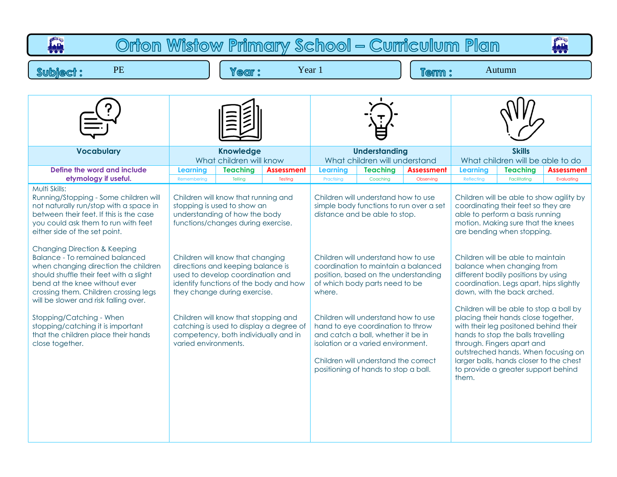| Orton Wistow Primary School - Curriculum Plan<br>يليا<br>100                                                                                                                                                                                                                                                                                                                                                                                                                                                                                                                                                                             |                                |                                                                                                                                                                                                                                                                                                                                                                        |                                                                                   |                               |                                                                                                                                                                                                                                                                                                                                                                                                                                                                                                                 |                                |                               |                                                                                                                                                                                                                                                                                                                                                                                                                                                                                                                                                                                                                                                                                                    |                                 |  |
|------------------------------------------------------------------------------------------------------------------------------------------------------------------------------------------------------------------------------------------------------------------------------------------------------------------------------------------------------------------------------------------------------------------------------------------------------------------------------------------------------------------------------------------------------------------------------------------------------------------------------------------|--------------------------------|------------------------------------------------------------------------------------------------------------------------------------------------------------------------------------------------------------------------------------------------------------------------------------------------------------------------------------------------------------------------|-----------------------------------------------------------------------------------|-------------------------------|-----------------------------------------------------------------------------------------------------------------------------------------------------------------------------------------------------------------------------------------------------------------------------------------------------------------------------------------------------------------------------------------------------------------------------------------------------------------------------------------------------------------|--------------------------------|-------------------------------|----------------------------------------------------------------------------------------------------------------------------------------------------------------------------------------------------------------------------------------------------------------------------------------------------------------------------------------------------------------------------------------------------------------------------------------------------------------------------------------------------------------------------------------------------------------------------------------------------------------------------------------------------------------------------------------------------|---------------------------------|--|
| <b>PE</b><br><b>Subject:</b>                                                                                                                                                                                                                                                                                                                                                                                                                                                                                                                                                                                                             |                                | Year 1<br>Autumn<br>Year:<br>Term:                                                                                                                                                                                                                                                                                                                                     |                                                                                   |                               |                                                                                                                                                                                                                                                                                                                                                                                                                                                                                                                 |                                |                               |                                                                                                                                                                                                                                                                                                                                                                                                                                                                                                                                                                                                                                                                                                    |                                 |  |
|                                                                                                                                                                                                                                                                                                                                                                                                                                                                                                                                                                                                                                          |                                |                                                                                                                                                                                                                                                                                                                                                                        |                                                                                   |                               |                                                                                                                                                                                                                                                                                                                                                                                                                                                                                                                 |                                |                               |                                                                                                                                                                                                                                                                                                                                                                                                                                                                                                                                                                                                                                                                                                    |                                 |  |
| <b>Vocabulary</b>                                                                                                                                                                                                                                                                                                                                                                                                                                                                                                                                                                                                                        |                                | <b>Knowledge</b><br>What children will know                                                                                                                                                                                                                                                                                                                            |                                                                                   |                               | <b>Understanding</b><br>What children will understand                                                                                                                                                                                                                                                                                                                                                                                                                                                           |                                |                               | <b>Skills</b><br>What children will be able to do                                                                                                                                                                                                                                                                                                                                                                                                                                                                                                                                                                                                                                                  |                                 |  |
| Define the word and include<br>etymology if useful.                                                                                                                                                                                                                                                                                                                                                                                                                                                                                                                                                                                      | <b>Learning</b><br>Remembering | <b>Teaching</b><br>Telling                                                                                                                                                                                                                                                                                                                                             | <b>Assessment</b><br>Testing                                                      | <b>Learning</b><br>Practising | <b>Teaching</b><br>Coaching                                                                                                                                                                                                                                                                                                                                                                                                                                                                                     | <b>Assessment</b><br>Observing | <b>Learning</b><br>Reflecting | <b>Teaching</b><br>Facilitating                                                                                                                                                                                                                                                                                                                                                                                                                                                                                                                                                                                                                                                                    | <b>Assessment</b><br>Evaluating |  |
| Multi Skills:<br>Running/Stopping - Some children will<br>not naturally run/stop with a space in<br>between their feet. If this is the case<br>you could ask them to run with feet<br>either side of the set point.<br><b>Changing Direction &amp; Keeping</b><br><b>Balance - To remained balanced</b><br>when changing direction the children<br>should shuffle their feet with a slight<br>bend at the knee without ever<br>crossing them. Children crossing legs<br>will be slower and risk falling over.<br>Stopping/Catching - When<br>stopping/catching it is important<br>that the children place their hands<br>close together. | varied environments.           | Children will know that running and<br>stopping is used to show an<br>understanding of how the body<br>functions/changes during exercise.<br>Children will know that changing<br>directions and keeping balance is<br>used to develop coordination and<br>they change during exercise.<br>Children will know that stopping and<br>competency, both individually and in | identify functions of the body and how<br>catching is used to display a degree of | where.                        | Children will understand how to use<br>simple body functions to run over a set<br>distance and be able to stop.<br>Children will understand how to use<br>coordination to maintain a balanced<br>position, based on the understanding<br>of which body parts need to be<br>Children will understand how to use<br>hand to eye coordination to throw<br>and catch a ball, whether it be in<br>isolation or a varied environment.<br>Children will understand the correct<br>positioning of hands to stop a ball. |                                | them.                         | Children will be able to show agility by<br>coordinating their feet so they are<br>able to perform a basis running<br>motion. Making sure that the knees<br>are bending when stopping.<br>Children will be able to maintain<br>balance when changing from<br>different bodily positions by using<br>coordination. Legs apart, hips slightly<br>down, with the back arched.<br>Children will be able to stop a ball by<br>placing their hands close together,<br>with their leg positoned behind their<br>hands to stop the balls travelling<br>through. Fingers apart and<br>outstreched hands. When focusing on<br>larger balls, hands closer to the chest<br>to provide a greater support behind |                                 |  |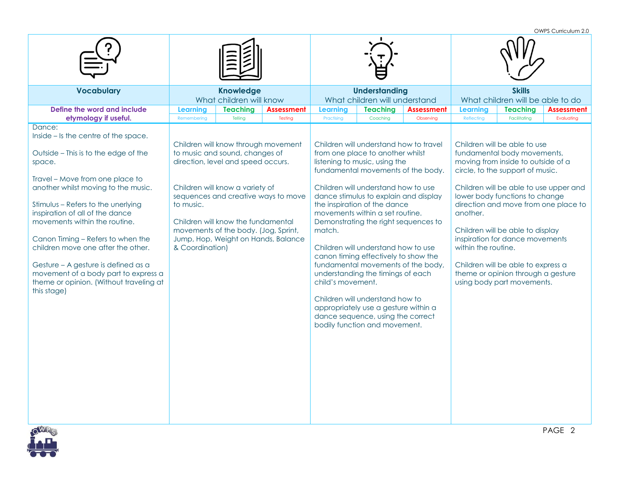OWPS Curriculum 2.0 **Vocabulary Knowledge** What children will know **Understanding** What children will understand **Skills** What children will be able to do **Define the word and include etymology if useful. Learning Teaching Assessment Learning Teaching Assessment Learning Teaching Assessment** Remembering | Telling | Testing | Practising | Coaching | Observing | Reflecting | Facilitating | Evaluating Dance<sup>.</sup> Inside – Is the centre of the space. Outside – This is to the edge of the space. Travel – Move from one place to another whilst moving to the music. Stimulus – Refers to the unerlying inspiration of all of the dance movements within the routine. Canon Timing – Refers to when the children move one after the other. Gesture – A gesture is defined as a movement of a body part to express a theme or opinion. (Without traveling at this stage) Children will know through movement to music and sound, changes of direction, level and speed occurs. Children will know a variety of sequences and creative ways to move to music. Children will know the fundamental movements of the body. (Jog, Sprint, Jump, Hop, Weight on Hands, Balance & Coordination) Children will understand how to travel from one place to another whilst listening to music, using the fundamental movements of the body. Children will understand how to use dance stimulus to explain and display the inspiration of the dance movements within a set routine. Demonstrating the right sequences to match. Children will understand how to use canon timing effectively to show the fundamental movements of the body, understanding the timings of each child's movement. Children will understand how to appropriately use a gesture within a dance sequence, using the correct bodily function and movement. Children will be able to use fundamental body movements, moving from inside to outside of a circle, to the support of music. Children will be able to use upper and lower body functions to change direction and move from one place to another. Children will be able to display inspiration for dance movements within the routine. Children will be able to express a theme or opinion through a gesture using body part movements.

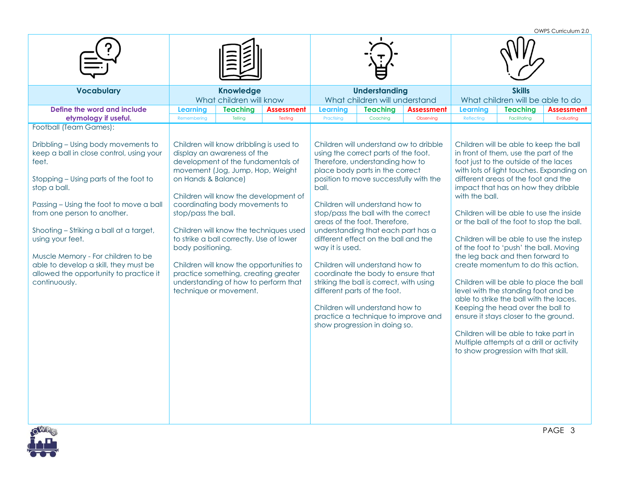|                                                                                                                                                                                                                                                                                                                                                                                                                                      |                                                                 |                                                                                                                                                                                                                                                                                                                                                                                     |                                                                                 |                                                       |                                                                                                                                                                                                                                                                                                                                                                                                                                                                                                                                                                                                                                                         |                                |                                                   |                                                                                                                                                                                                                                                                                                                                                                                                                                                                                                                                                                                                                                                                                                                                                                                                       | OWPS Curriculum 2.0                      |
|--------------------------------------------------------------------------------------------------------------------------------------------------------------------------------------------------------------------------------------------------------------------------------------------------------------------------------------------------------------------------------------------------------------------------------------|-----------------------------------------------------------------|-------------------------------------------------------------------------------------------------------------------------------------------------------------------------------------------------------------------------------------------------------------------------------------------------------------------------------------------------------------------------------------|---------------------------------------------------------------------------------|-------------------------------------------------------|---------------------------------------------------------------------------------------------------------------------------------------------------------------------------------------------------------------------------------------------------------------------------------------------------------------------------------------------------------------------------------------------------------------------------------------------------------------------------------------------------------------------------------------------------------------------------------------------------------------------------------------------------------|--------------------------------|---------------------------------------------------|-------------------------------------------------------------------------------------------------------------------------------------------------------------------------------------------------------------------------------------------------------------------------------------------------------------------------------------------------------------------------------------------------------------------------------------------------------------------------------------------------------------------------------------------------------------------------------------------------------------------------------------------------------------------------------------------------------------------------------------------------------------------------------------------------------|------------------------------------------|
|                                                                                                                                                                                                                                                                                                                                                                                                                                      |                                                                 |                                                                                                                                                                                                                                                                                                                                                                                     |                                                                                 |                                                       |                                                                                                                                                                                                                                                                                                                                                                                                                                                                                                                                                                                                                                                         |                                |                                                   |                                                                                                                                                                                                                                                                                                                                                                                                                                                                                                                                                                                                                                                                                                                                                                                                       |                                          |
| <b>Vocabulary</b>                                                                                                                                                                                                                                                                                                                                                                                                                    |                                                                 | Knowledge<br>What children will know                                                                                                                                                                                                                                                                                                                                                |                                                                                 | <b>Understanding</b><br>What children will understand |                                                                                                                                                                                                                                                                                                                                                                                                                                                                                                                                                                                                                                                         |                                | <b>Skills</b><br>What children will be able to do |                                                                                                                                                                                                                                                                                                                                                                                                                                                                                                                                                                                                                                                                                                                                                                                                       |                                          |
| Define the word and include<br>etymology if useful.                                                                                                                                                                                                                                                                                                                                                                                  | <b>Learning</b><br>Remembering                                  | <b>Teaching</b><br>Telling                                                                                                                                                                                                                                                                                                                                                          | <b>Assessment</b><br>Testing                                                    | <b>Teaching</b><br>Learning<br>Practising<br>Coaching |                                                                                                                                                                                                                                                                                                                                                                                                                                                                                                                                                                                                                                                         | <b>Assessment</b><br>Observing | <b>Learning</b><br>Reflecting                     | <b>Teaching</b><br>Facilitating                                                                                                                                                                                                                                                                                                                                                                                                                                                                                                                                                                                                                                                                                                                                                                       | <b>Assessment</b><br>Evaluating          |
| Football (Team Games):                                                                                                                                                                                                                                                                                                                                                                                                               |                                                                 |                                                                                                                                                                                                                                                                                                                                                                                     |                                                                                 |                                                       |                                                                                                                                                                                                                                                                                                                                                                                                                                                                                                                                                                                                                                                         |                                |                                                   |                                                                                                                                                                                                                                                                                                                                                                                                                                                                                                                                                                                                                                                                                                                                                                                                       |                                          |
| Dribbling - Using body movements to<br>keep a ball in close control, using your<br>feet.<br>Stopping - Using parts of the foot to<br>stop a ball.<br>Passing - Using the foot to move a ball<br>from one person to another.<br>Shooting - Striking a ball at a target,<br>using your feet.<br>Muscle Memory - For children to be<br>able to develop a skill, they must be<br>allowed the opportunity to practice it<br>continuously. | on Hands & Balance)<br>stop/pass the ball.<br>body positioning. | Children will know dribbling is used to<br>display an awareness of the<br>development of the fundamentals of<br>movement (Jog, Jump, Hop, Weight<br>coordinating body movements to<br>to strike a ball correctly. Use of lower<br>Children will know the opportunities to<br>practice something, creating greater<br>understanding of how to perform that<br>technique or movement. | Children will know the development of<br>Children will know the techniques used | ball.<br>way it is used.                              | Children will understand ow to dribble<br>using the correct parts of the foot.<br>Therefore, understanding how to<br>place body parts in the correct<br>position to move successfully with the<br>Children will understand how to<br>stop/pass the ball with the correct<br>areas of the foot. Therefore,<br>understanding that each part has a<br>different effect on the ball and the<br>Children will understand how to<br>coordinate the body to ensure that<br>striking the ball is correct, with using<br>different parts of the foot.<br>Children will understand how to<br>practice a technique to improve and<br>show progression in doing so. |                                | with the ball.                                    | Children will be able to keep the ball<br>in front of them, use the part of the<br>foot just to the outside of the laces<br>different areas of the foot and the<br>impact that has on how they dribble<br>Children will be able to use the inside<br>or the ball of the foot to stop the ball.<br>Children will be able to use the instep<br>of the foot to 'push' the ball. Moving<br>the leg back and then forward to<br>create momentum to do this action.<br>Children will be able to place the ball<br>level with the standing foot and be<br>able to strike the ball with the laces.<br>Keeping the head over the ball to<br>ensure it stays closer to the ground.<br>Children will be able to take part in<br>Multiple attempts at a drill or activity<br>to show progression with that skill. | with lots of light touches. Expanding on |

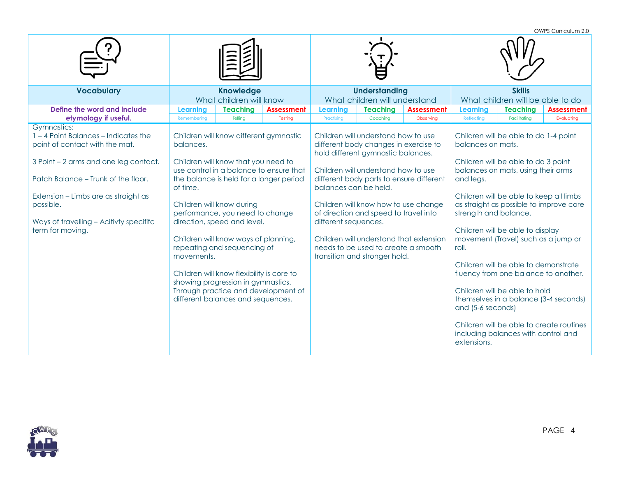OWPS Curriculum 2.0 **Vocabulary Knowledge** What children will know **Understanding** What children will understand **Skills** What children will be able to do **Define the word and include etymology if useful. Learning Teaching Assessment Learning Teaching Assessment Learning Teaching Assessment** Remembering | Telling | Testing | Practising | Coaching | Observing | Reflecting | Facilitating | Evaluating Gymnastics: 1 – 4 Point Balances – Indicates the point of contact with the mat. 3 Point – 2 arms and one leg contact. Patch Balance – Trunk of the floor. Extension – Limbs are as straight as possible. Ways of travelling – Acitivty specififc term for moving. Children will know different gymnastic balances. Children will know that you need to use control in a balance to ensure that the balance is held for a longer period of time. Children will know during performance, you need to change direction, speed and level. Children will know ways of planning, repeating and sequencing of movements. Children will know flexibility is core to showing progression in gymnastics. Through practice and development of different balances and sequences. Children will understand how to use different body changes in exercise to hold different gymnastic balances. Children will understand how to use different body parts to ensure different balances can be held. Children will know how to use change of direction and speed to travel into different sequences. Children will understand that extension needs to be used to create a smooth transition and stronger hold. Children will be able to do 1-4 point balances on mats. Children will be able to do 3 point balances on mats, using their arms and legs. Children will be able to keep all limbs as straight as possible to improve core strength and balance. Children will be able to display movement (Travel) such as a jump or roll. Children will be able to demonstrate fluency from one balance to another. Children will be able to hold themselves in a balance (3-4 seconds) and (5-6 seconds) Children will be able to create routines including balances with control and extensions.

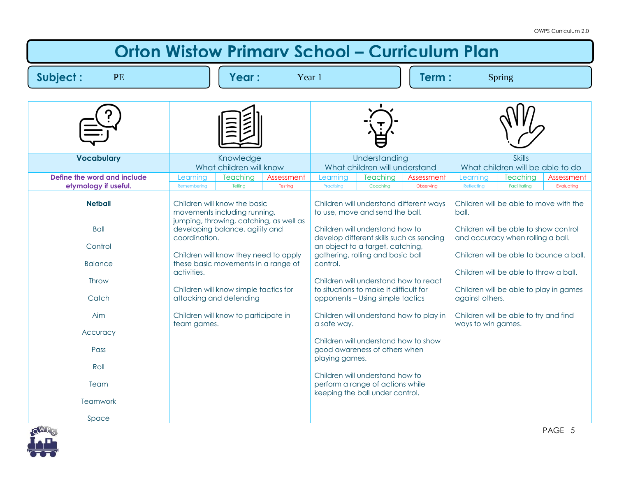| <b>Orton Wistow Primary School - Curriculum Plan</b>                                                                                         |                                             |                                                                                                                                                                                                                                                                                                                                        |            |                                           |                                                                                                                                                                                                                                                                                                                                                                                                                                                                                                                                                                                         |            |                                                |                                                                                                                                                                                                         |                                                                                   |
|----------------------------------------------------------------------------------------------------------------------------------------------|---------------------------------------------|----------------------------------------------------------------------------------------------------------------------------------------------------------------------------------------------------------------------------------------------------------------------------------------------------------------------------------------|------------|-------------------------------------------|-----------------------------------------------------------------------------------------------------------------------------------------------------------------------------------------------------------------------------------------------------------------------------------------------------------------------------------------------------------------------------------------------------------------------------------------------------------------------------------------------------------------------------------------------------------------------------------------|------------|------------------------------------------------|---------------------------------------------------------------------------------------------------------------------------------------------------------------------------------------------------------|-----------------------------------------------------------------------------------|
| Subject:<br>PE                                                                                                                               |                                             | Year:                                                                                                                                                                                                                                                                                                                                  |            | Year 1                                    | Term:<br>Spring                                                                                                                                                                                                                                                                                                                                                                                                                                                                                                                                                                         |            |                                                |                                                                                                                                                                                                         |                                                                                   |
|                                                                                                                                              |                                             |                                                                                                                                                                                                                                                                                                                                        |            |                                           |                                                                                                                                                                                                                                                                                                                                                                                                                                                                                                                                                                                         |            |                                                |                                                                                                                                                                                                         |                                                                                   |
|                                                                                                                                              |                                             |                                                                                                                                                                                                                                                                                                                                        |            |                                           |                                                                                                                                                                                                                                                                                                                                                                                                                                                                                                                                                                                         |            |                                                |                                                                                                                                                                                                         |                                                                                   |
| <b>Vocabulary</b>                                                                                                                            |                                             | Knowledge<br>What children will know                                                                                                                                                                                                                                                                                                   |            |                                           | Understanding<br>What children will understand                                                                                                                                                                                                                                                                                                                                                                                                                                                                                                                                          |            |                                                | <b>Skills</b><br>What children will be able to do                                                                                                                                                       |                                                                                   |
| Define the word and include                                                                                                                  | Learning                                    | <b>Teaching</b>                                                                                                                                                                                                                                                                                                                        | Assessment | Learning                                  | Teaching                                                                                                                                                                                                                                                                                                                                                                                                                                                                                                                                                                                | Assessment | Learning                                       | <b>Teaching</b>                                                                                                                                                                                         | Assessment                                                                        |
| etymology if useful.                                                                                                                         | Remembering                                 | Telling                                                                                                                                                                                                                                                                                                                                | Testing    | Practising                                | Coaching                                                                                                                                                                                                                                                                                                                                                                                                                                                                                                                                                                                | Observing  | Reflecting                                     | Facilitating                                                                                                                                                                                            | Evaluating                                                                        |
| <b>Netball</b><br><b>Ball</b><br>Control<br><b>Balance</b><br>Throw<br>Catch<br>Aim<br>Accuracy<br>Pass<br>Roll<br>Team<br>Teamwork<br>Space | coordination.<br>activities.<br>team games. | Children will know the basic<br>movements including running,<br>jumping, throwing, catching, as well as<br>developing balance, agility and<br>Children will know they need to apply<br>these basic movements in a range of<br>Children will know simple tactics for<br>attacking and defending<br>Children will know to participate in |            | control.<br>a safe way.<br>playing games. | Children will understand different ways<br>to use, move and send the ball.<br>Children will understand how to<br>develop different skills such as sending<br>an object to a target, catching,<br>gathering, rolling and basic ball<br>Children will understand how to react<br>to situations to make it difficult for<br>opponents - Using simple tactics<br>Children will understand how to play in<br>Children will understand how to show<br>good awareness of others when<br>Children will understand how to<br>perform a range of actions while<br>keeping the ball under control. |            | ball.<br>against others.<br>ways to win games. | Children will be able to show control<br>and accuracy when rolling a ball.<br>Children will be able to throw a ball.<br>Children will be able to play in games<br>Children will be able to try and find | Children will be able to move with the<br>Children will be able to bounce a ball. |

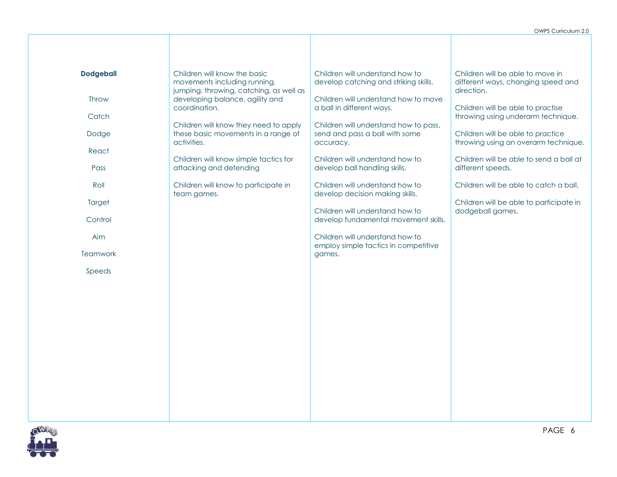| <b>Dodgeball</b><br>Throw | Children will know the basic<br>movements including running,<br>jumping, throwing, catching, as well as<br>developing balance, agility and | Children will understand how to<br>develop catching and striking skills.<br>Children will understand how to move  | Children will be able to move in<br>different ways, changing speed and<br>direction.                                                                 |
|---------------------------|--------------------------------------------------------------------------------------------------------------------------------------------|-------------------------------------------------------------------------------------------------------------------|------------------------------------------------------------------------------------------------------------------------------------------------------|
| Catch<br>Dodge<br>React   | coordination.<br>Children will know they need to apply<br>these basic movements in a range of<br>activities.                               | a ball in different ways.<br>Children will understand how to pass,<br>send and pass a ball with some<br>accuracy. | Children will be able to practise<br>throwing using underarm technique.<br>Children will be able to practice<br>throwing using an overarm technique. |
| Pass<br>Roll              | Children will know simple tactics for<br>attacking and defending<br>Children will know to participate in                                   | Children will understand how to<br>develop ball handling skills.<br>Children will understand how to               | Children will be able to send a ball at<br>different speeds.<br>Children will be able to catch a ball.                                               |
| Target<br>Control         | team games.                                                                                                                                | develop decision making skills.<br>Children will understand how to<br>develop fundamental movement skills.        | Children will be able to participate in<br>dodgeball games.                                                                                          |
| Aim<br>Teamwork           |                                                                                                                                            | Children will understand how to<br>employ simple tactics in competitive<br>games.                                 |                                                                                                                                                      |
| Speeds                    |                                                                                                                                            |                                                                                                                   |                                                                                                                                                      |
|                           |                                                                                                                                            |                                                                                                                   |                                                                                                                                                      |
|                           |                                                                                                                                            |                                                                                                                   |                                                                                                                                                      |
|                           |                                                                                                                                            |                                                                                                                   |                                                                                                                                                      |

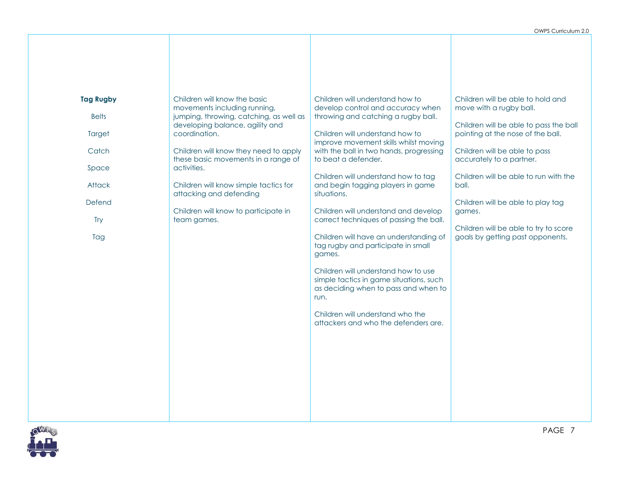| <b>Tag Rugby</b><br><b>Belts</b><br>Target<br>Catch<br>Space<br>Attack<br>Defend<br>Try<br>Tag | Children will know the basic<br>movements including running,<br>jumping, throwing, catching, as well as<br>developing balance, agility and<br>coordination.<br>Children will know they need to apply<br>these basic movements in a range of<br>activities.<br>Children will know simple tactics for<br>attacking and defending<br>Children will know to participate in<br>team games. | Children will understand how to<br>develop control and accuracy when<br>throwing and catching a rugby ball.<br>Children will understand how to<br>improve movement skills whilst moving<br>with the ball in two hands, progressing<br>to beat a defender.<br>Children will understand how to tag<br>and begin tagging players in game<br>situations.<br>Children will understand and develop<br>correct techniques of passing the ball.<br>Children will have an understanding of<br>tag rugby and participate in small<br>games.<br>Children will understand how to use<br>simple tactics in game situations, such<br>as deciding when to pass and when to<br>run.<br>Children will understand who the<br>attackers and who the defenders are. | Children will be able to hold and<br>move with a rugby ball.<br>Children will be able to pass the ball<br>pointing at the nose of the ball.<br>Children will be able to pass<br>accurately to a partner.<br>Children will be able to run with the<br>ball.<br>Children will be able to play tag<br>games.<br>Children will be able to try to score<br>goals by getting past opponents. |
|------------------------------------------------------------------------------------------------|---------------------------------------------------------------------------------------------------------------------------------------------------------------------------------------------------------------------------------------------------------------------------------------------------------------------------------------------------------------------------------------|-------------------------------------------------------------------------------------------------------------------------------------------------------------------------------------------------------------------------------------------------------------------------------------------------------------------------------------------------------------------------------------------------------------------------------------------------------------------------------------------------------------------------------------------------------------------------------------------------------------------------------------------------------------------------------------------------------------------------------------------------|----------------------------------------------------------------------------------------------------------------------------------------------------------------------------------------------------------------------------------------------------------------------------------------------------------------------------------------------------------------------------------------|

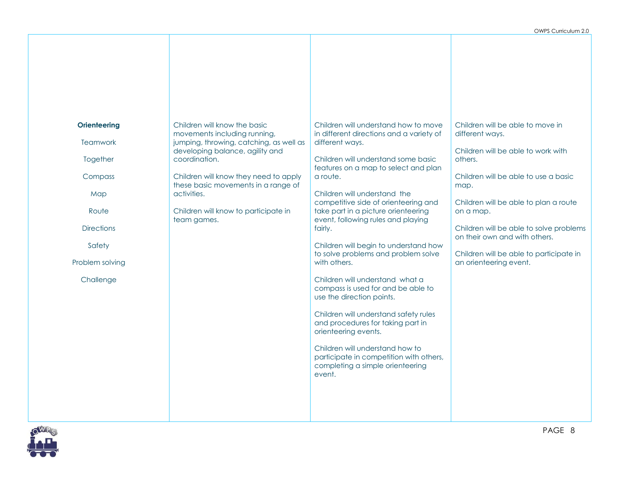| <b>Orienteering</b><br>Teamwork<br>Together<br>Compass<br>Map<br>Route<br><b>Directions</b><br>Safety<br>Problem solving<br>Challenge | Children will know the basic<br>movements including running,<br>jumping, throwing, catching, as well as<br>developing balance, agility and<br>coordination.<br>Children will know they need to apply<br>these basic movements in a range of<br>activities.<br>Children will know to participate in<br>team games. | Children will understand how to move<br>in different directions and a variety of<br>different ways.<br>Children will understand some basic<br>features on a map to select and plan<br>a route.<br>Children will understand the<br>competitive side of orienteering and<br>take part in a picture orienteering<br>event, following rules and playing<br>fairly.<br>Children will begin to understand how<br>to solve problems and problem solve<br>with others.<br>Children will understand what a<br>compass is used for and be able to<br>use the direction points.<br>Children will understand safety rules<br>and procedures for taking part in<br>orienteering events.<br>Children will understand how to<br>participate in competition with others,<br>completing a simple orienteering<br>event. | Children will be able to move in<br>different ways.<br>Children will be able to work with<br>others.<br>Children will be able to use a basic<br>map.<br>Children will be able to plan a route<br>on a map.<br>Children will be able to solve problems<br>on their own and with others.<br>Children will be able to participate in<br>an orienteering event. |
|---------------------------------------------------------------------------------------------------------------------------------------|-------------------------------------------------------------------------------------------------------------------------------------------------------------------------------------------------------------------------------------------------------------------------------------------------------------------|--------------------------------------------------------------------------------------------------------------------------------------------------------------------------------------------------------------------------------------------------------------------------------------------------------------------------------------------------------------------------------------------------------------------------------------------------------------------------------------------------------------------------------------------------------------------------------------------------------------------------------------------------------------------------------------------------------------------------------------------------------------------------------------------------------|-------------------------------------------------------------------------------------------------------------------------------------------------------------------------------------------------------------------------------------------------------------------------------------------------------------------------------------------------------------|
|                                                                                                                                       |                                                                                                                                                                                                                                                                                                                   |                                                                                                                                                                                                                                                                                                                                                                                                                                                                                                                                                                                                                                                                                                                                                                                                        |                                                                                                                                                                                                                                                                                                                                                             |

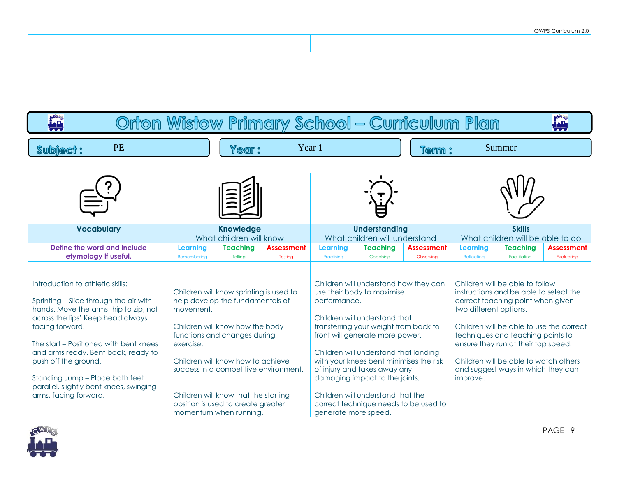|  | <b>UTTLO CONTOURNER</b> |
|--|-------------------------|
|  |                         |
|  |                         |
|  |                         |
|  |                         |
|  |                         |
|  |                         |

| a <sup>gga</sup> g<br>195<br>Orton Wistow Primary School - Curriculum Plan                                                                                                                                                                                                                                                                                                                  |                                                                                                                                                                                                                                                                                                                                                                |                                      |                                                                                                                                                                                                                                                                                                                                                                             |                                                       |                                    |                                                                                                                                                                                                                                                                           |                                          |                                 |
|---------------------------------------------------------------------------------------------------------------------------------------------------------------------------------------------------------------------------------------------------------------------------------------------------------------------------------------------------------------------------------------------|----------------------------------------------------------------------------------------------------------------------------------------------------------------------------------------------------------------------------------------------------------------------------------------------------------------------------------------------------------------|--------------------------------------|-----------------------------------------------------------------------------------------------------------------------------------------------------------------------------------------------------------------------------------------------------------------------------------------------------------------------------------------------------------------------------|-------------------------------------------------------|------------------------------------|---------------------------------------------------------------------------------------------------------------------------------------------------------------------------------------------------------------------------------------------------------------------------|------------------------------------------|---------------------------------|
| <b>PE</b><br><b>Subject:</b>                                                                                                                                                                                                                                                                                                                                                                | Year:                                                                                                                                                                                                                                                                                                                                                          | Year 1                               |                                                                                                                                                                                                                                                                                                                                                                             |                                                       | <b>Term :</b>                      |                                                                                                                                                                                                                                                                           | Summer                                   |                                 |
|                                                                                                                                                                                                                                                                                                                                                                                             |                                                                                                                                                                                                                                                                                                                                                                |                                      |                                                                                                                                                                                                                                                                                                                                                                             |                                                       |                                    |                                                                                                                                                                                                                                                                           |                                          |                                 |
| <b>Vocabulary</b>                                                                                                                                                                                                                                                                                                                                                                           | <b>Knowledge</b><br>What children will know                                                                                                                                                                                                                                                                                                                    |                                      |                                                                                                                                                                                                                                                                                                                                                                             | <b>Understanding</b><br>What children will understand |                                    | <b>Skills</b><br>What children will be able to do                                                                                                                                                                                                                         |                                          |                                 |
| Define the word and include<br>etymology if useful.                                                                                                                                                                                                                                                                                                                                         | Learning<br><b>Teaching</b><br>Tellina<br>Remembering                                                                                                                                                                                                                                                                                                          | <b>Assessment</b><br>Testing         | Learning<br>Practising                                                                                                                                                                                                                                                                                                                                                      | <b>Teaching</b><br>Coaching                           | <b>Assessment</b><br>Observing     | Learning<br>Reflecting                                                                                                                                                                                                                                                    | <b>Teaching</b><br>Facilitating          | <b>Assessment</b><br>Evaluating |
| Introduction to athletic skills:<br>Sprinting - Slice through the air with<br>hands. Move the arms 'hip to zip, not<br>across the lips' Keep head always<br>facing forward.<br>The start – Positioned with bent knees<br>and arms ready. Bent back, ready to<br>push off the ground.<br>Standing Jump - Place both feet<br>parallel, slightly bent knees, swinging<br>arms, facing forward. | Children will know sprinting is used to<br>help develop the fundamentals of<br>movement.<br>Children will know how the body<br>functions and changes during<br>exercise.<br>Children will know how to achieve<br>success in a competitive environment.<br>Children will know that the starting<br>position is used to create greater<br>momentum when running. | performance.<br>generate more speed. | Children will understand how they can<br>use their body to maximise<br>Children will understand that<br>transferring your weight from back to<br>front will generate more power.<br>Children will understand that landing<br>with your knees bent minimises the risk<br>of injury and takes away any<br>damaging impact to the joints.<br>Children will understand that the | correct technique needs to be used to                 | two different options.<br>improve. | Children will be able to follow<br>instructions and be able to select the<br>correct teaching point when given<br>techniques and teaching points to<br>ensure they run at their top speed.<br>Children will be able to watch others<br>and suggest ways in which they can | Children will be able to use the correct |                                 |

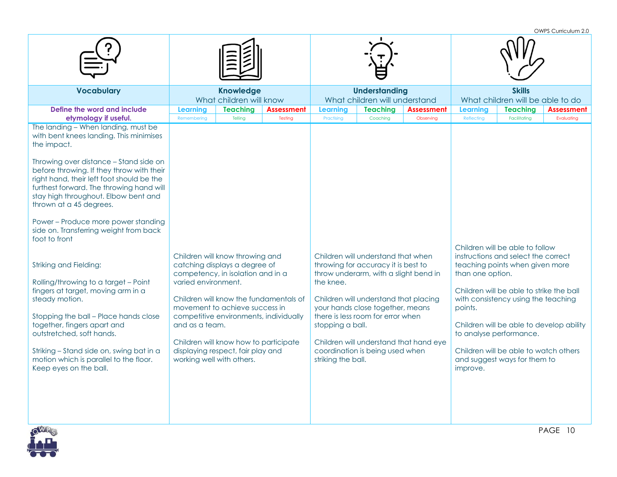OWPS Curriculum 2.0

| <b>Vocabulary</b>                                                                                                                                                                                                                                                                                                                                                                                                                                                                                                                                                                                                                                                                                                                                                                                                                                               | <b>Knowledge</b><br>What children will know                                                                                                                                                                                                                                                                                                                                                                                                     |                              | <b>Understanding</b><br>What children will understand                                |                                                                                                                                                                                                                                                                                                        |                                                                          | <b>Skills</b><br>What children will be able to do                        |                                                                                                                                                                                                                                                                                                                                                                                 |                                 |
|-----------------------------------------------------------------------------------------------------------------------------------------------------------------------------------------------------------------------------------------------------------------------------------------------------------------------------------------------------------------------------------------------------------------------------------------------------------------------------------------------------------------------------------------------------------------------------------------------------------------------------------------------------------------------------------------------------------------------------------------------------------------------------------------------------------------------------------------------------------------|-------------------------------------------------------------------------------------------------------------------------------------------------------------------------------------------------------------------------------------------------------------------------------------------------------------------------------------------------------------------------------------------------------------------------------------------------|------------------------------|--------------------------------------------------------------------------------------|--------------------------------------------------------------------------------------------------------------------------------------------------------------------------------------------------------------------------------------------------------------------------------------------------------|--------------------------------------------------------------------------|--------------------------------------------------------------------------|---------------------------------------------------------------------------------------------------------------------------------------------------------------------------------------------------------------------------------------------------------------------------------------------------------------------------------------------------------------------------------|---------------------------------|
| Define the word and include<br>etymology if useful.<br>The landing - When landing, must be<br>with bent knees landing. This minimises<br>the impact.<br>Throwing over distance - Stand side on<br>before throwing. If they throw with their<br>right hand, their left foot should be the<br>furthest forward. The throwing hand will<br>stay high throughout. Elbow bent and<br>thrown at a 45 degrees.<br>Power - Produce more power standing<br>side on. Transferring weight from back<br>foot to front<br><b>Striking and Fielding:</b><br>Rolling/throwing to a target - Point<br>fingers at target, moving arm in a<br>steady motion.<br>Stopping the ball - Place hands close<br>together, fingers apart and<br>outstretched, soft hands.<br>Striking - Stand side on, swing bat in a<br>motion which is parallel to the floor.<br>Keep eyes on the ball. | <b>Teaching</b><br><b>Learning</b><br>Remembering<br>Telling<br>Children will know throwing and<br>catching displays a degree of<br>competency, in isolation and in a<br>varied environment.<br>Children will know the fundamentals of<br>movement to achieve success in<br>competitive environments, individually<br>and as a team.<br>Children will know how to participate<br>displaying respect, fair play and<br>working well with others. | <b>Assessment</b><br>Testing | <b>Learning</b><br>Practising<br>the knee.<br>stopping a ball.<br>striking the ball. | <b>Teaching</b><br>Coaching<br>Children will understand that when<br>throwing for accuracy it is best to<br>throw underarm, with a slight bend in<br>Children will understand that placing<br>your hands close together, means<br>there is less room for error when<br>coordination is being used when | <b>Assessment</b><br>Observing<br>Children will understand that hand eye | <b>Learning</b><br>Reflecting<br>than one option.<br>points.<br>improve. | <b>Teaching</b><br>Facilitating<br>Children will be able to follow<br>instructions and select the correct<br>teaching points when given more<br>Children will be able to strike the ball<br>with consistency using the teaching<br>Children will be able to develop ability<br>to analyse performance.<br>Children will be able to watch others<br>and suggest ways for them to | <b>Assessment</b><br>Evaluating |

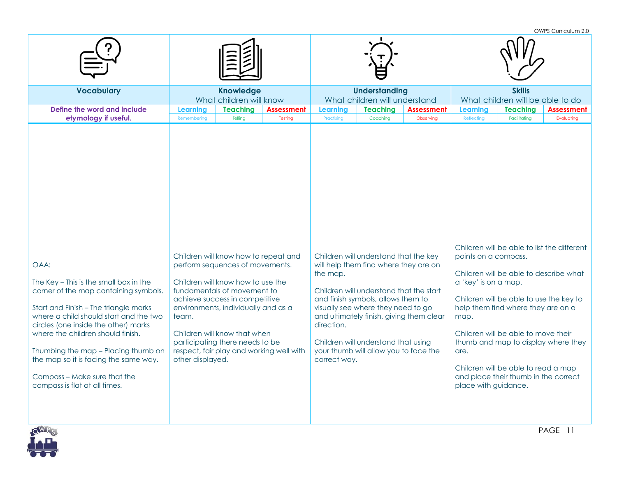OWPS Curriculum 2.0

| <b>Vocabulary</b>                                                                                                                                                                                                                                                                                                                                                                                        | <b>Knowledge</b><br>What children will know                                                                                                                                                                                                                                                                                                                      | <b>Understanding</b><br>What children will understand                                                                                                                                                                                                                                                                                                                       | <b>Skills</b><br>What children will be able to do                                                                                                                                                                                                                                                                                                                                                                           |  |  |
|----------------------------------------------------------------------------------------------------------------------------------------------------------------------------------------------------------------------------------------------------------------------------------------------------------------------------------------------------------------------------------------------------------|------------------------------------------------------------------------------------------------------------------------------------------------------------------------------------------------------------------------------------------------------------------------------------------------------------------------------------------------------------------|-----------------------------------------------------------------------------------------------------------------------------------------------------------------------------------------------------------------------------------------------------------------------------------------------------------------------------------------------------------------------------|-----------------------------------------------------------------------------------------------------------------------------------------------------------------------------------------------------------------------------------------------------------------------------------------------------------------------------------------------------------------------------------------------------------------------------|--|--|
| Define the word and include<br>etymology if useful.                                                                                                                                                                                                                                                                                                                                                      | <b>Teaching</b><br><b>Learning</b><br><b>Assessment</b><br>Telling<br>Remembering<br>Testing                                                                                                                                                                                                                                                                     | <b>Teaching</b><br><b>Assessment</b><br><b>Learning</b><br>Practising<br>Coaching<br>Observing                                                                                                                                                                                                                                                                              | <b>Teaching</b><br><b>Assessment</b><br><b>Learning</b><br>Reflecting<br>Facilitating<br>Evaluating                                                                                                                                                                                                                                                                                                                         |  |  |
| OAA:<br>The Key - This is the small box in the<br>corner of the map containing symbols.<br>Start and Finish - The triangle marks<br>where a child should start and the two<br>circles (one inside the other) marks<br>where the children should finish.<br>Thumbing the map - Placing thumb on<br>the map so it is facing the same way.<br>Compass - Make sure that the<br>compass is flat at all times. | Children will know how to repeat and<br>perform sequences of movements.<br>Children will know how to use the<br>fundamentals of movement to<br>achieve success in competitive<br>environments, individually and as a<br>team.<br>Children will know that when<br>participating there needs to be<br>respect, fair play and working well with<br>other displayed. | Children will understand that the key<br>will help them find where they are on<br>the map.<br>Children will understand that the start<br>and finish symbols, allows them to<br>visually see where they need to go<br>and ultimately finish, giving them clear<br>direction.<br>Children will understand that using<br>your thumb will allow you to face the<br>correct way. | Children will be able to list the different<br>points on a compass.<br>Children will be able to describe what<br>a 'key' is on a map.<br>Children will be able to use the key to<br>help them find where they are on a<br>map.<br>Children will be able to move their<br>thumb and map to display where they<br>are.<br>Children will be able to read a map<br>and place their thumb in the correct<br>place with guidance. |  |  |